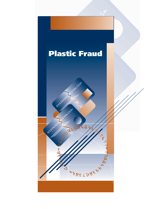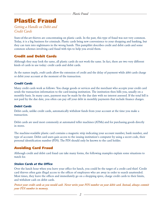# **Plastic Fraud**

### *Getting a Handle on Debit and Credit Cards*

State-of-the-art thieves are concentrating on plastic cards. In the past, this type of fraud was not very common. Today, it is a big business for criminals. Plastic cards bring new convenience to your shopping and banking, but they can turn into nightmares in the wrong hands. This pamphlet describes credit and debit cards and some common schemes involving card fraud with tips to help you avoid them.

# **Credit and Debit Cards**

Although they may look the same, all plastic cards do not work the same. In fact, there are two very different kinds of cards in use today: credit cards and debit cards.

As the names imply, *credit* cards allow the extension of credit and the delay of payment while *debit* cards charge or debit your account at the moment of the transaction.

### *Credit Cards*

Many credit cards work as follows: You charge goods or services and the merchant who accepts your credit card sends the transaction information to the card-issuing institution. The institution then bills you, usually on a monthly basis. In many cases, payment may be made by the due date with no interest assessed. If the total bill is not paid by the due date, you often can pay off your debt in monthly payments that include finance charges.

### *Debit Cards*

Debit cards, unlike credit cards, automatically withdraw funds from your account at the time you make a transaction.

Debit cards are used most commonly at automated teller machines (ATMs) and for purchasing goods directly in stores.

The machine-readable plastic card contains a magnetic strip indicating your account number, bank number, and type of account. Debit card users gain access to the issuing institution's computer by using a secret code, their personal identification number (PIN). The PIN should only be known to the card holder.

# **Avoiding Card Fraud**

Although credit and debit card fraud can take many forms, the following examples explain some situations to watch for.

### *Stolen Cards at the Office*

Over the lunch hour when you leave your office for lunch, you could be the target of a credit card thief. Credit card thieves often gain illegal access to the offices of employees who are away in order to search unattended. Most times, they leave the offices and immediately go on a shopping spree, charge credit cards to their limits, and withdraw cash on debit cards.

*Protect your credit cards as you would cash. Never write your PIN number on your debit card. Instead, always commit your PIN number to memory.*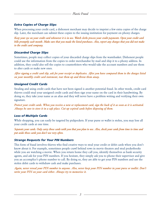### *Extra Copies of Charge Slips*

When processing your credit card, a dishonest merchant may decide to imprint a few extra copies of the charge slip. Later, the merchant can submit these copies to the issuing institution for payment on phony charges.

*Keep your eye on your credit card whenever it is in use. Watch clerks process your credit payments. Open your credit card bills promptly each month. Make sure that you made the listed purchases. Also, report any charges that you did not make to the credit card company.*

### *Discarded Charge Slips*

Sometimes, people may collect copies of your discarded charge slips from the wastebasket. Dishonest people could use the information from the copies to order merchandise by mail and ship it to a phony address. In addition, they could also sell the copies to counterfeiters who would take the account numbers and use them to alter cards or make new ones.

*After signing a credit card slip, ask for your receipt or duplicates. After you have compared them to the charges listed on your monthly credit card statement, tear them up and throw them away.*

### *Unsigned Credit Cards*

Stealing and using credit cards that have not been signed is another potential fraud. In other words, credit card thieves could steal your unsigned credit cards and then sign your name on the card in their handwriting. By doing so, they take your name as an alias and they will never have a problem writing and verifying their own signature.

*Protect your credit cards. When you receive a new or replacement card, sign the back of it as soon as it is activated. Always be sure to store it in a safe place. Cut up expired cards before disposing of them.*

### *Loss of Multiple Cards*

While shopping, you can easily be targeted by pickpockets. If your purse or wallet is stolen, you may lose all your credit cards at one time.

*Separate your cards. Only carry those cards with you that you plan to use. Also, check your cards from time to time and put aside those cards you don't use very often.*

### *Strange Requests for Your PIN Numbers*

This form of fraud involves thieves who find creative ways to steal your credit or debit cards when you don't know about it. For example, sometimes people crawl behind rows in movie theaters and steal pocketbooks while you are watching a movie. When you return home they call you, identify themselves as bank security agents, and ask for your PIN numbers. If you hesitate, they simply ask you to phone their supervisor and give you an accomplice's phone number to call. By doing so, they are able to get your PIN numbers and use the stolen debit cards to withdraw cash and make purchases.

*Again, never reveal your PIN number to anyone. Also, never keep your PIN number in your purse or wallet. Don't write your PIN on your card either. Always try to memorize it.*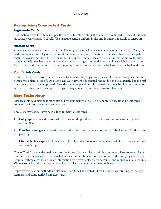# **Recognizing Counterfeit Cards**

#### *Legitimate Cards*

Legitimate cards follow standard specifications as to color, tint, quality, and style. Stamped letters and numbers are spaced evenly and sized equally. The signature panel is uniform in size and is almost impossible to scrape off.

### *Altered Cards*

Altered cards are made from actual cards. The original stamped data is melted down or pressed out. Then, the card is re-stamped with legitimate account numbers, names, and expiration dates, which have been illegally obtained. On altered cards, the letters do not line up well and are usually irregular in size. Some credit card companies help merchants identify altered cards by making an authenticator machine available to merchants. The machine authenticates or verifies certain information that is encoded on the back stripe on the back of the card.

### *Counterfeit Cards*

Counterfeiters make most counterfeit cards by silkscreening or painting the card logo and issuing institution's name onto a blank piece of card plastic. Because they are silkscreened, the cards don't look exactly like the real thing. Real credit cards are printed. Also, the signature panel on silkscreened cards may be glued or painted on and can be easily lifted or chipped. This panel may also appear uneven in size or placement.

### **New Technology**

New technology is making it more difficult for criminals to use, alter, or counterfeit credit and debit cards. Some of the innovations are already in use.

These security features have been added to major credit cards:

- 1. **Holograph** a three-dimensional, laser produced optical device that changes its color and image as the card is tilted.
- 2. **Fine-line printing** a repeated pattern of the card company name positioned as background for the company logo.
- 3. **Ultra-violet ink** special ink that is visible only under ultra-violet light, which will display the credit card company's logo.

"Smart Cards" may be the credit cards of the future. Each card has a built-in computer microprocessor. Signatures have been replaced with personal identification numbers and verification is handled only by computers. Eventually these cards may provide information on investments, charge accounts, and money market accounts. We may someday think of the credit card as a pocket-sized computer memory bank.

Improved verification methods are also being developed and tested. These include fingerprinting, retinal eye scanners, and computerized signature cards.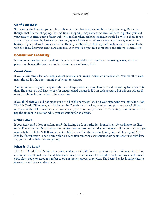#### *On the Internet*

While using the Internet, you can learn about any number of topics and buy almost anything. Be aware, though, that Internet shopping, like traditional shopping, may carry some risk. Software to protect you and your privacy is often a part of most web sites. In fact, when ordering online, it would be wise to check if you are on a secure server by looking for a security symbol such as an unbroken key or padlock symbol at the bottom of your Internet browser window. These symbols indicate that any information you may send to the web site, including your credit card numbers, is encrypted or put into computer code prior to transmission.

### **Consumer Liability**

It is important to keep a personal list of your credit and debit card numbers, the issuing banks, and their phone numbers so that you can contact them in case of loss or theft.

### *Credit Cards*

If your credit card is lost or stolen, contact your bank or issuing institution immediately. Your monthly statement should list the phone number of whom to contact.

You do not have to pay for any unauthorized charges made after you have notified the issuing bank or institution. The most you will have to pay for unauthorized charges is \$50 on each account. But this can add up if several cards are lost or stolen at the same time.

If you think that you did not make some or all of the purchases listed on your statement, you can take action. The Fair Credit Billing Act, an addition to the Truth-in-Lending law, requires prompt correction of billing mistakes. Within 60 days after the bill was mailed, you must notify the creditor in writing. You do not have to pay the amount in question while you are waiting for an answer.

#### *Debit Cards*

If your debit card is lost or stolen, notify the issuing bank or institution immediately. According to the Electronic Funds Transfer Act, if notification is given within two business days of discovery of the loss or theft, you may only be liable for \$50. If you do not notify them within the two-day limit, you could lose up to \$500. Finally, if notification is not given within 60 days after receiving a statement showing unauthorized withdrawals, you could be liable for everything.

#### *What is the Law?*

The Credit Card Fraud Act imposes prison sentences and stiff fines on persons convicted of unauthorized or counterfeit use of credit cards and debit cards. Also, the law makes it a federal crime to use any unauthorized card, plate, code, or account number to obtain money, goods, or services. The Secret Service is authorized to investigate violations under this act.